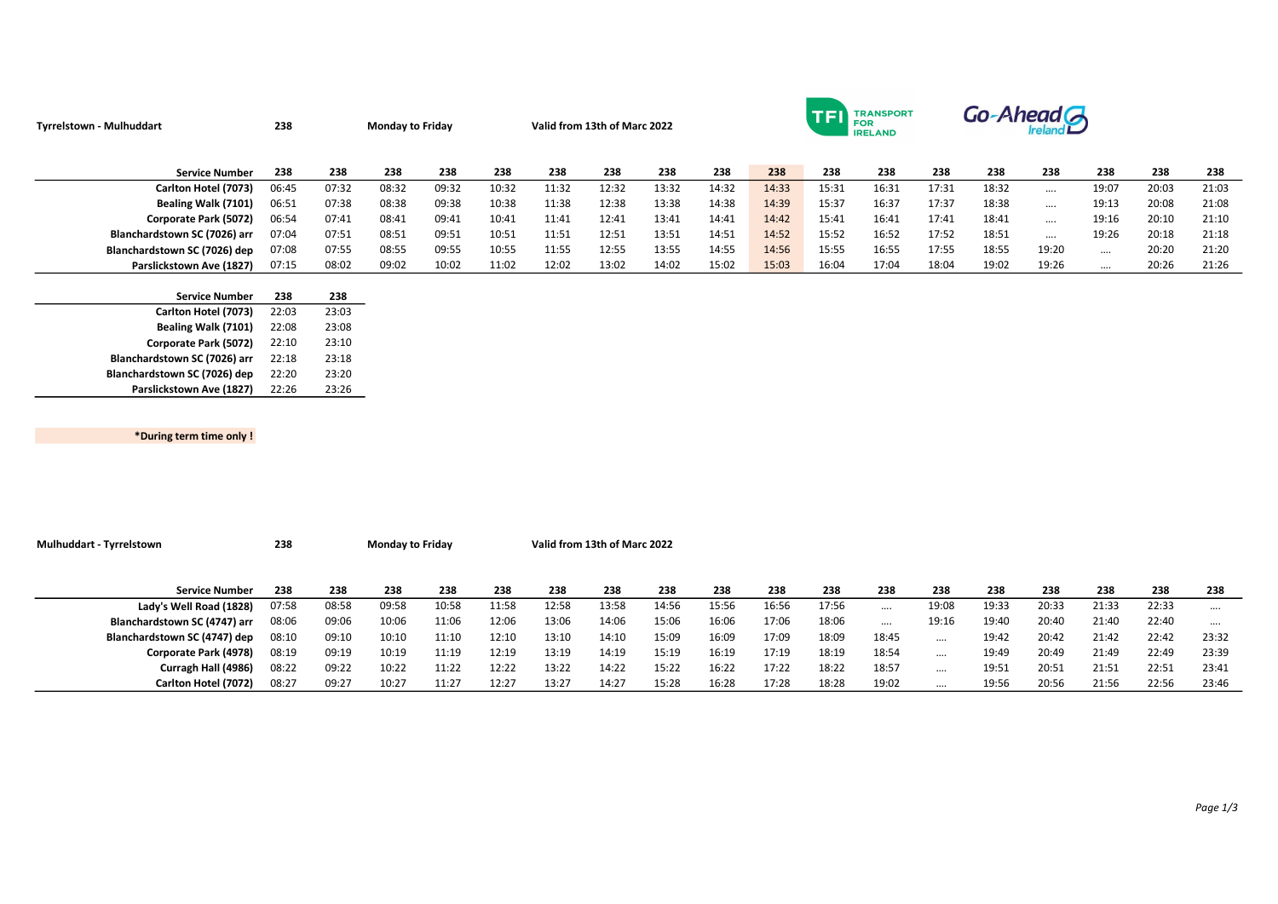| <b>Tyrrelstown - Mulhuddart</b> | 238   |       | <b>Monday to Friday</b> |       | Valid from 13th of Marc 2022 |       |       |       |       |       | TFI   | <b>TRANSPORT</b><br>FOR<br><b>IRELAND</b> |       | Go-Ahead G |          |          |       |       |
|---------------------------------|-------|-------|-------------------------|-------|------------------------------|-------|-------|-------|-------|-------|-------|-------------------------------------------|-------|------------|----------|----------|-------|-------|
| <b>Service Number</b>           | 238   | 238   | 238                     | 238   | 238                          | 238   | 238   | 238   | 238   | 238   | 238   | 238                                       | 238   | 238        | 238      | 238      | 238   | 238   |
| Carlton Hotel (7073)            | 06:45 | 07:32 | 08:32                   | 09:32 | 10:32                        | 11:32 | 12:32 | 13:32 | 14:32 | 14:33 | 15:31 | 16:31                                     | 17:31 | 18:32      | $\cdots$ | 19:07    | 20:03 | 21:03 |
| Bealing Walk (7101)             | 06:51 | 07:38 | 08:38                   | 09:38 | 10:38                        | 11:38 | 12:38 | 13:38 | 14:38 | 14:39 | 15:37 | 16:37                                     | 17:37 | 18:38      | $\cdots$ | 19:13    | 20:08 | 21:08 |
| Corporate Park (5072)           | 06:54 | 07:41 | 08:41                   | 09:41 | 10:41                        | 11:41 | 12:41 | 13:41 | 14:41 | 14:42 | 15:41 | 16:41                                     | 17:41 | 18:41      | $\cdots$ | 19:16    | 20:10 | 21:10 |
| Blanchardstown SC (7026) arr    | 07:04 | 07:51 | 08:51                   | 09:51 | 10:51                        | 11:51 | 12:51 | 13:51 | 14:51 | 14:52 | 15:52 | 16:52                                     | 17:52 | 18:51      | $\cdots$ | 19:26    | 20:18 | 21:18 |
| Blanchardstown SC (7026) dep    | 07:08 | 07:55 | 08:55                   | 09:55 | 10:55                        | 11:55 | 12:55 | 13:55 | 14:55 | 14:56 | 15:55 | 16:55                                     | 17:55 | 18:55      | 19:20    | $\cdots$ | 20:20 | 21:20 |
| Parslickstown Ave (1827)        | 07:15 | 08:02 | 09:02                   | 10:02 | 11:02                        | 12:02 | 13:02 | 14:02 | 15:02 | 15:03 | 16:04 | 17:04                                     | 18:04 | 19:02      | 19:26    | $\cdots$ | 20:26 | 21:26 |
|                                 |       |       |                         |       |                              |       |       |       |       |       |       |                                           |       |            |          |          |       |       |
| <b>Service Number</b>           | 238   | 238   |                         |       |                              |       |       |       |       |       |       |                                           |       |            |          |          |       |       |
| Carlton Hotel (7073)            | 22:03 | 23:03 |                         |       |                              |       |       |       |       |       |       |                                           |       |            |          |          |       |       |

| <b>Carlton Hotel (7079)</b>  | ----  | 29.09 |
|------------------------------|-------|-------|
| Bealing Walk (7101)          | 22:08 | 23:08 |
| Corporate Park (5072)        | 22:10 | 23:10 |
| Blanchardstown SC (7026) arr | 22:18 | 23:18 |
| Blanchardstown SC (7026) dep | 22:20 | 23:20 |
| Parslickstown Ave (1827)     | 22:26 | 23:26 |

\*During term time only !

Mulhuddart - Tyrrelstown 238 Monday to Friday Valid from 13th of Marc 2022 Service Number 238 238 238 238 238 238 238 238 238 238 238 238 238 238 238 238 238 238 Lady's Well Road (1828) 07:58 08:58 09:58 10:58 11:58 12:58 13:58 14:56 15:56 16:56 17:56 …. 19:08 19:33 20:33 21:33 22:33 …. Blanchardstown SC (4747) arr 08:06 09:06 10:06 11:06 12:06 13:06 14:06 15:06 16:06 17:06 18:06 …. 19:16 19:40 20:40 21:40 22:40 …. Blanchardstown SC (4747) dep 08:10 09:10 10:10 11:10 12:10 13:10 14:10 15:09 16:09 17:09 18:09 18:45 …. 19:42 20:42 21:42 22:42 23:32 Corporate Park (4978) 08:19 09:19 10:19 11:19 12:19 13:19 14:19 15:19 16:19 17:19 18:19 18:54 …. 19:49 20:49 21:49 22:49 23:39 Curragh Hall (4986) 08:22 09:22 10:22 11:22 12:22 13:22 14:22 15:22 16:22 17:22 18:22 18:57 …. 19:51 20:51 21:51 22:51 23:41 Carlton Hotel (7072) 08:27 09:27 10:27 11:27 12:27 13:27 14:27 15:28 16:28 17:28 18:28 19:02 …. 19:56 20:56 21:56 22:56 23:46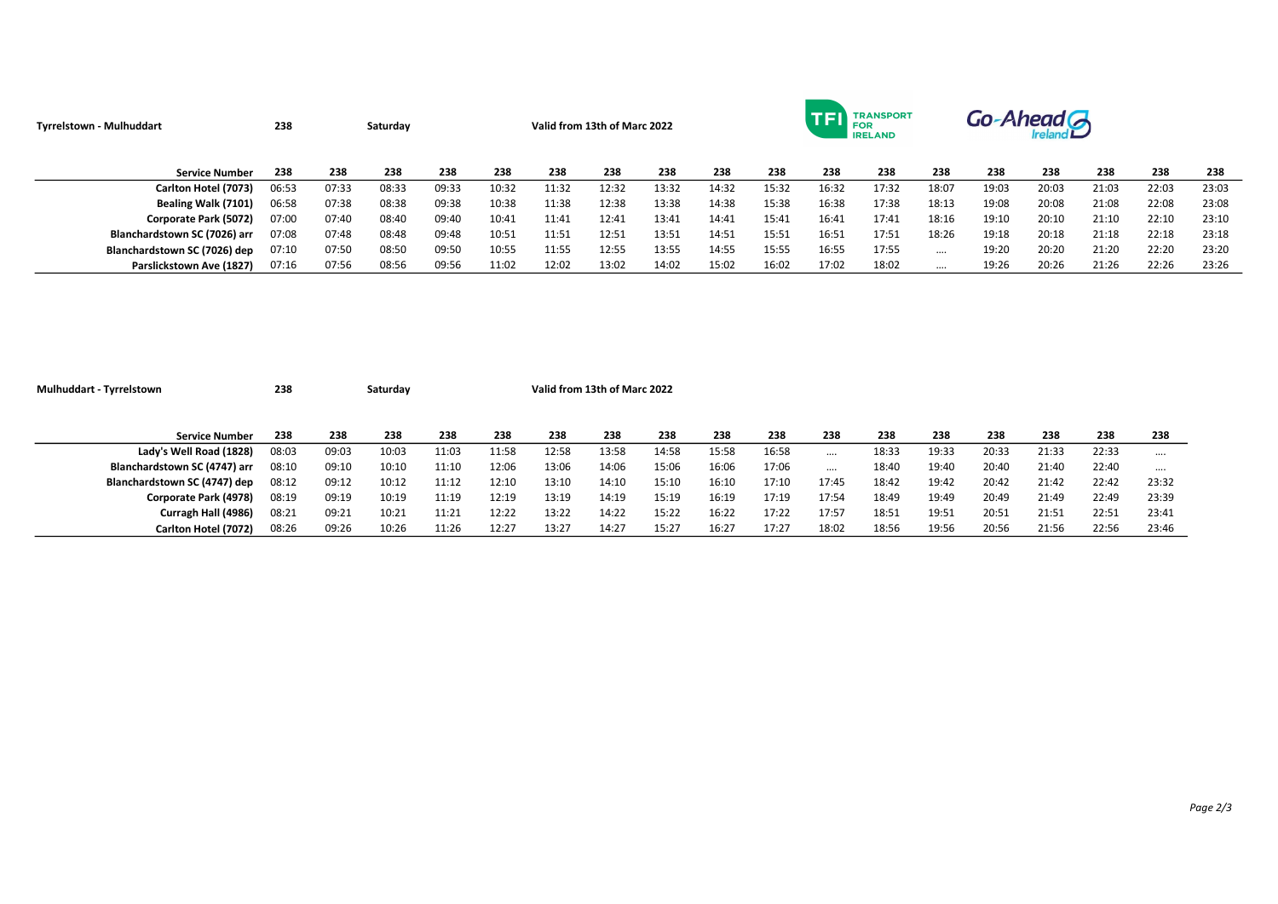| Tyrrelstown - Mulhuddart     | 238   |       | Saturday | Valid from 13th of Marc 2022 |       |       |       |       |       |       |       | <b>TRANSPORT</b><br>FOR<br><b>IRELAND</b> |          | Go-Ahead G |       |       |       |       |
|------------------------------|-------|-------|----------|------------------------------|-------|-------|-------|-------|-------|-------|-------|-------------------------------------------|----------|------------|-------|-------|-------|-------|
| <b>Service Number</b>        | 238   | 238   | 238      | 238                          | 238   | 238   | 238   | 238   | 238   | 238   | 238   | 238                                       | 238      | 238        | 238   | 238   | 238   | 238   |
| Carlton Hotel (7073)         | 06:53 | 07:33 | 08:33    | 09:33                        | 10:32 | 11:32 | 12:32 | 13:32 | 14:32 | 15:32 | 16:32 | 17:32                                     | 18:07    | 19:03      | 20:03 | 21:03 | 22:03 | 23:03 |
| Bealing Walk (7101)          | 06:58 | 07:38 | 08:38    | 09:38                        | 10:38 | 11:38 | 12:38 | 13:38 | 14:38 | 15:38 | 16:38 | 17:38                                     | 18:13    | 19:08      | 20:08 | 21:08 | 22:08 | 23:08 |
| Corporate Park (5072)        | 07:00 | 07:40 | 08:40    | 09:40                        | 10:41 | 11:41 | 12:41 | 13:41 | 14:41 | 15:41 | 16:41 | 17:41                                     | 18:16    | 19:10      | 20:10 | 21:10 | 22:10 | 23:10 |
| Blanchardstown SC (7026) arr | 07:08 | 07:48 | 08:48    | 09:48                        | 10:51 | 11:51 | 12:51 | 13:51 | 14:51 | 15:51 | 16:51 | 17:51                                     | 18:26    | 19:18      | 20:18 | 21:18 | 22:18 | 23:18 |
| Blanchardstown SC (7026) dep | 07:10 | 07:50 | 08:50    | 09:50                        | 10:55 | 11:55 | 12:55 | 13:55 | 14:55 | 15:55 | 16:55 | 17:55                                     |          | 19:20      | 20:20 | 21:20 | 22:20 | 23:20 |
| Parslickstown Ave (1827)     | 07:16 | 07:56 | 08:56    | 09:56                        | 11:02 | 12:02 | 13:02 | 14:02 | 15:02 | 16:02 | 17:02 | 18:02                                     | $\cdots$ | 19:26      | 20:26 | 21:26 | 22:26 | 23:26 |

| Mulhuddart - Tyrrelstown     | 238   |       | Saturday |       | Valid from 13th of Marc 2022 |       |       |       |       |       |          |       |       |       |       |       |       |
|------------------------------|-------|-------|----------|-------|------------------------------|-------|-------|-------|-------|-------|----------|-------|-------|-------|-------|-------|-------|
|                              |       |       |          |       |                              |       |       |       |       |       |          |       |       |       |       |       |       |
| <b>Service Number</b>        | 238   | 238   | 238      | 238   | 238                          | 238   | 238   | 238   | 238   | 238   | 238      | 238   | 238   | 238   | 238   | 238   | 238   |
| Lady's Well Road (1828)      | 08:03 | 09:03 | 10:03    | 11:03 | 11:58                        | 12:58 | 13:58 | 14:58 | 15:58 | 16:58 | $\cdots$ | 18:33 | 19:33 | 20:33 | 21:33 | 22:33 |       |
| Blanchardstown SC (4747) arr | 08:10 | 09:10 | 10:10    | 11:10 | 12:06                        | 13:06 | 14:06 | 15:06 | 16:06 | 17:06 |          | 18:40 | 19:40 | 20:40 | 21:40 | 22:40 |       |
| Blanchardstown SC (4747) dep | 08:12 | 09:12 | 10:12    | 11:12 | 12:10                        | 13:10 | 14:10 | 15:10 | 16:10 | 17:10 | 17:45    | 18:42 | 19:42 | 20:42 | 21:42 | 22:42 | 23:32 |
| Corporate Park (4978)        | 08:19 | 09:19 | 10:19    | 11:19 | 12:19                        | 13:19 | 14:19 | 15:19 | 16:19 | 17:19 | 17:54    | 18:49 | 19:49 | 20:49 | 21:49 | 22:49 | 23:39 |
| Curragh Hall (4986)          | 08:21 | 09:21 | 10:21    | 11:21 | 12:22                        | 13:22 | 14:22 | 15:22 | 16:22 | 17:22 | 17:57    | 18:51 | 19:51 | 20:51 | 21:51 | 22:51 | 23:41 |
| Carlton Hotel (7072)         | 08:26 | 09:26 | 10:26    | 11:26 | 12:27                        | 13:27 | 14:27 | 15:27 | 16:27 | 17:27 | 18:02    | 18:56 | 19:56 | 20:56 | 21:56 | 22:56 | 23:46 |